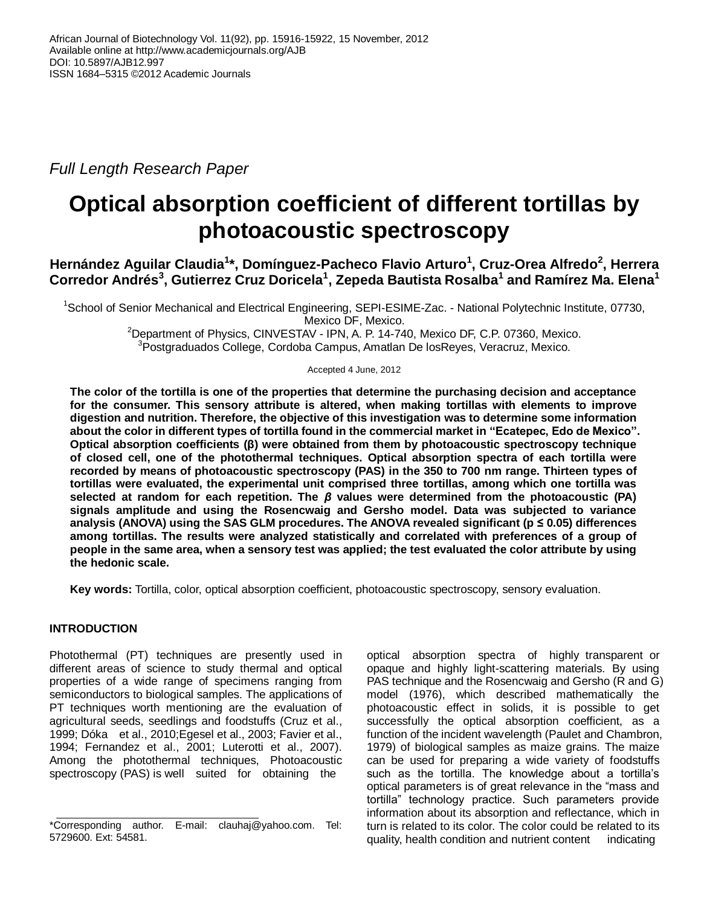*Full Length Research Paper*

# **Optical absorption coefficient of different tortillas by photoacoustic spectroscopy**

**Hernández Aguilar Claudia<sup>1</sup> \*, Domínguez-Pacheco Flavio Arturo<sup>1</sup> , Cruz-Orea Alfredo<sup>2</sup> , Herrera Corredor Andrés<sup>3</sup> , Gutierrez Cruz Doricela<sup>1</sup> , Zepeda Bautista Rosalba<sup>1</sup> and Ramírez Ma. Elena<sup>1</sup>**

<sup>1</sup>School of Senior Mechanical and Electrical Engineering, SEPI-ESIME-Zac. - National Polytechnic Institute, 07730, Mexico DF, Mexico.

<sup>2</sup>Department of Physics, CINVESTAV - IPN, A. P. 14-740, Mexico DF, C.P. 07360, Mexico. <sup>3</sup>Postgraduados College, Cordoba Campus, Amatlan De losReyes, Veracruz, Mexico.

Accepted 4 June, 2012

**The color of the tortilla is one of the properties that determine the purchasing decision and acceptance for the consumer. This sensory attribute is altered, when making tortillas with elements to improve digestion and nutrition. Therefore, the objective of this investigation was to determine some information about the color in different types of tortilla found in the commercial market in "Ecatepec, Edo de Mexico". Optical absorption coefficients (β) were obtained from them by photoacoustic spectroscopy technique of closed cell, one of the photothermal techniques. Optical absorption spectra of each tortilla were recorded by means of photoacoustic spectroscopy (PAS) in the 350 to 700 nm range. Thirteen types of tortillas were evaluated, the experimental unit comprised three tortillas, among which one tortilla was selected at random for each repetition. The** *β* **values were determined from the photoacoustic (PA) signals amplitude and using the Rosencwaig and Gersho model. Data was subjected to variance analysis (ANOVA) using the SAS GLM procedures. The ANOVA revealed significant (p ≤ 0.05) differences among tortillas. The results were analyzed statistically and correlated with preferences of a group of people in the same area, when a sensory test was applied; the test evaluated the color attribute by using the hedonic scale.**

**Key words:** Tortilla, color, optical absorption coefficient, photoacoustic spectroscopy, sensory evaluation.

# **INTRODUCTION**

Photothermal (PT) techniques are presently used in different areas of science to study thermal and optical properties of a wide range of specimens ranging from semiconductors to biological samples. The applications of PT techniques worth mentioning are the evaluation of agricultural seeds, seedlings and foodstuffs (Cruz et al., 1999; Dóka et al., 2010;Egesel et al., 2003; Favier et al., 1994; Fernandez et al., 2001; Luterotti et al., 2007). Among the photothermal techniques, Photoacoustic spectroscopy (PAS) is well suited for obtaining the

optical absorption spectra of highly transparent or opaque and highly light-scattering materials. By using PAS technique and the Rosencwaig and Gersho (R and G) model (1976), which described mathematically the photoacoustic effect in solids, it is possible to get successfully the optical absorption coefficient, as a function of the incident wavelength (Paulet and Chambron, 1979) of biological samples as maize grains. The maize can be used for preparing a wide variety of foodstuffs such as the tortilla. The knowledge about a tortilla's optical parameters is of great relevance in the "mass and tortilla" technology practice. Such parameters provide information about its absorption and reflectance, which in turn is related to its color. The color could be related to its quality, health condition and nutrient content indicating

<sup>\*</sup>Corresponding author. E-mail: clauhaj@yahoo.com. Tel: 5729600. Ext: 54581.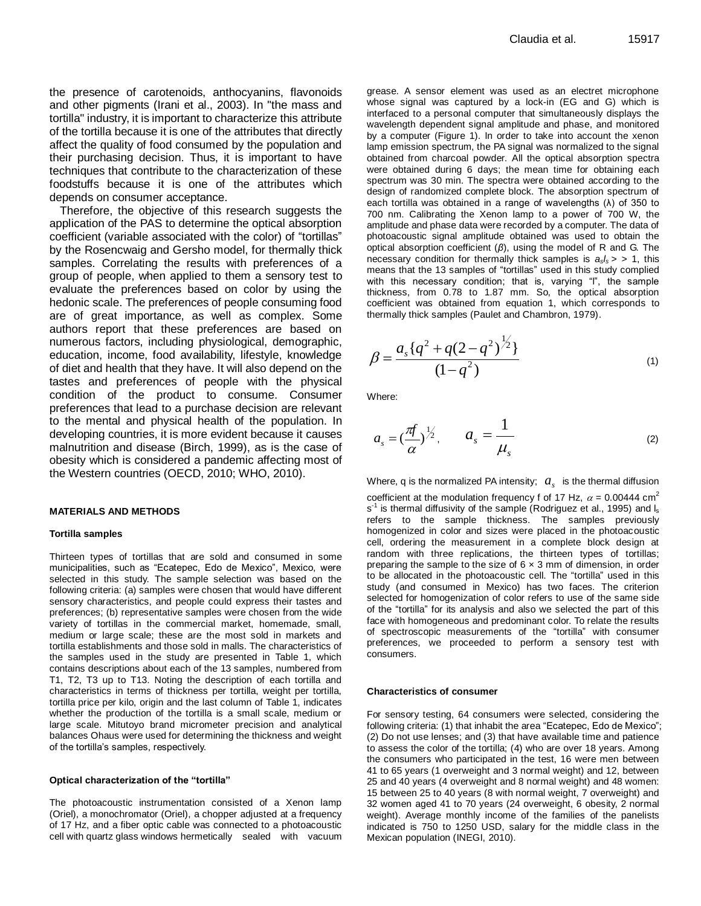the presence of carotenoids, anthocyanins, flavonoids and other pigments (Irani et al., 2003). In "the mass and tortilla" industry, it is important to characterize this attribute of the tortilla because it is one of the attributes that directly affect the quality of food consumed by the population and their purchasing decision. Thus, it is important to have techniques that contribute to the characterization of these foodstuffs because it is one of the attributes which depends on consumer acceptance.

Therefore, the objective of this research suggests the application of the PAS to determine the optical absorption coefficient (variable associated with the color) of "tortillas" by the Rosencwaig and Gersho model, for thermally thick samples. Correlating the results with preferences of a group of people, when applied to them a sensory test to evaluate the preferences based on color by using the hedonic scale. The preferences of people consuming food are of great importance, as well as complex. Some authors report that these preferences are based on numerous factors, including physiological, demographic, education, income, food availability, lifestyle, knowledge of diet and health that they have. It will also depend on the tastes and preferences of people with the physical condition of the product to consume. Consumer preferences that lead to a purchase decision are relevant to the mental and physical health of the population. In developing countries, it is more evident because it causes malnutrition and disease (Birch, 1999), as is the case of obesity which is considered a pandemic affecting most of the Western countries (OECD, 2010; WHO, 2010).

### **MATERIALS AND METHODS**

#### **Tortilla samples**

Thirteen types of tortillas that are sold and consumed in some municipalities, such as "Ecatepec, Edo de Mexico", Mexico, were selected in this study. The sample selection was based on the following criteria: (a) samples were chosen that would have different sensory characteristics, and people could express their tastes and preferences; (b) representative samples were chosen from the wide variety of tortillas in the commercial market, homemade, small, medium or large scale; these are the most sold in markets and tortilla establishments and those sold in malls. The characteristics of the samples used in the study are presented in Table 1, which contains descriptions about each of the 13 samples, numbered from T1, T2, T3 up to T13. Noting the description of each tortilla and characteristics in terms of thickness per tortilla, weight per tortilla, tortilla price per kilo, origin and the last column of Table 1, indicates whether the production of the tortilla is a small scale, medium or large scale. Mitutoyo brand micrometer precision and analytical balances Ohaus were used for determining the thickness and weight of the tortilla's samples, respectively.

#### **Optical characterization of the "tortilla"**

The photoacoustic instrumentation consisted of a Xenon lamp (Oriel), a monochromator (Oriel), a chopper adjusted at a frequency of 17 Hz, and a fiber optic cable was connected to a photoacoustic cell with quartz glass windows hermetically sealed with vacuum grease. A sensor element was used as an electret microphone whose signal was captured by a lock-in (EG and G) which is interfaced to a personal computer that simultaneously displays the wavelength dependent signal amplitude and phase, and monitored by a computer (Figure 1). In order to take into account the xenon lamp emission spectrum, the PA signal was normalized to the signal obtained from charcoal powder. All the optical absorption spectra were obtained during 6 days; the mean time for obtaining each spectrum was 30 min. The spectra were obtained according to the design of randomized complete block. The absorption spectrum of each tortilla was obtained in a range of wavelengths (λ) of 350 to 700 nm. Calibrating the Xenon lamp to a power of 700 W, the amplitude and phase data were recorded by a computer. The data of photoacoustic signal amplitude obtained was used to obtain the optical absorption coefficient (*β*), using the model of R and G. The necessary condition for thermally thick samples is  $a_s / s > 1$ , this means that the 13 samples of "tortillas" used in this study complied with this necessary condition; that is, varying "l", the sample thickness, from 0.78 to 1.87 mm. So, the optical absorption coefficient was obtained from equation 1, which corresponds to thermally thick samples (Paulet and Chambron, 1979).

$$
\beta = \frac{a_s \{q^2 + q(2 - q^2)\}^{\frac{1}{2}}}{(1 - q^2)}
$$
\n(1)

Where:

$$
a_s = \left(\frac{\pi f}{\alpha}\right)^{1/2}, \qquad a_s = \frac{1}{\mu_s} \tag{2}
$$

Where, q is the normalized PA intensity;  $a_{s}$  is the thermal diffusion

coefficient at the modulation frequency f of 17 Hz,  $\alpha$  = 0.00444 cm<sup>2</sup> s<sup>-1</sup> is thermal diffusivity of the sample (Rodriguez et al., 1995) and l<sub>s</sub> refers to the sample thickness. The samples previously homogenized in color and sizes were placed in the photoacoustic cell, ordering the measurement in a complete block design at random with three replications, the thirteen types of tortillas; preparing the sample to the size of  $6 \times 3$  mm of dimension, in order to be allocated in the photoacoustic cell. The "tortilla" used in this study (and consumed in Mexico) has two faces. The criterion selected for homogenization of color refers to use of the same side of the "tortilla" for its analysis and also we selected the part of this face with homogeneous and predominant color. To relate the results of spectroscopic measurements of the "tortilla" with consumer preferences, we proceeded to perform a sensory test with consumers.

#### **Characteristics of consumer**

For sensory testing, 64 consumers were selected, considering the following criteria: (1) that inhabit the area "Ecatepec, Edo de Mexico"; (2) Do not use lenses; and (3) that have available time and patience to assess the color of the tortilla; (4) who are over 18 years. Among the consumers who participated in the test, 16 were men between 41 to 65 years (1 overweight and 3 normal weight) and 12, between 25 and 40 years (4 overweight and 8 normal weight) and 48 women: 15 between 25 to 40 years (8 with normal weight, 7 overweight) and 32 women aged 41 to 70 years (24 overweight, 6 obesity, 2 normal weight). Average monthly income of the families of the panelists indicated is 750 to 1250 USD, salary for the middle class in the Mexican population (INEGI, 2010).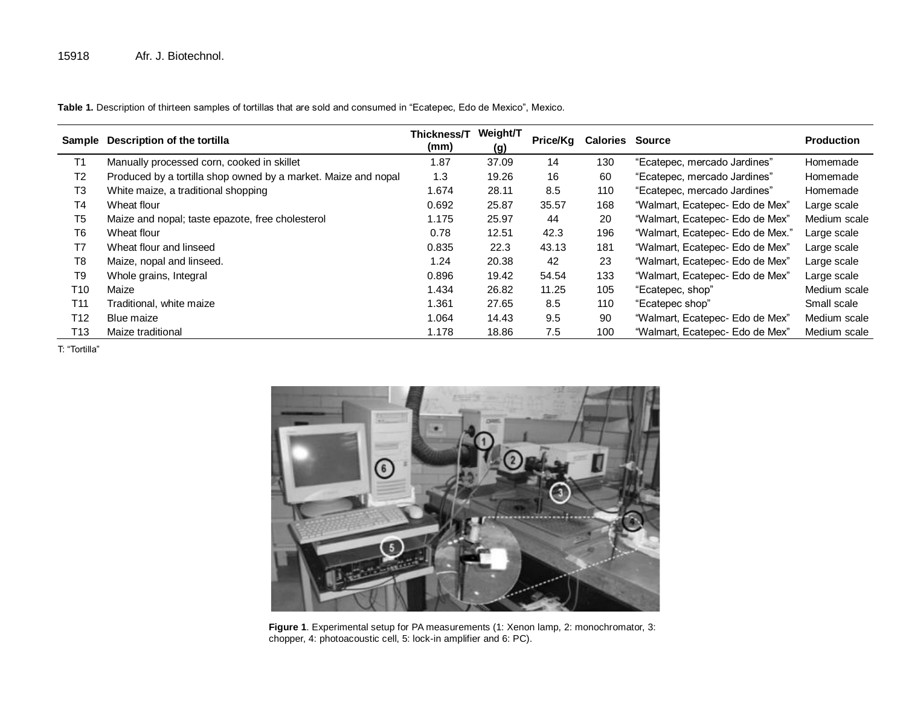**Table 1.** Description of thirteen samples of tortillas that are sold and consumed in "Ecatepec, Edo de Mexico", Mexico.

| Sample | Description of the tortilla                                    | Thickness/T<br>(mm) | Weight/T<br>(g) | Price/Kg | <b>Calories Source</b> |                                  | <b>Production</b> |
|--------|----------------------------------------------------------------|---------------------|-----------------|----------|------------------------|----------------------------------|-------------------|
| T1     | Manually processed corn, cooked in skillet                     | 1.87                | 37.09           | 14       | 130                    | "Ecatepec, mercado Jardines"     | Homemade          |
| Т2     | Produced by a tortilla shop owned by a market. Maize and nopal | 1.3                 | 19.26           | 16       | 60                     | "Ecatepec, mercado Jardines"     | Homemade          |
| T3     | White maize, a traditional shopping                            | 1.674               | 28.11           | 8.5      | 110                    | "Ecatepec, mercado Jardines"     | Homemade          |
| Τ4     | Wheat flour                                                    | 0.692               | 25.87           | 35.57    | 168                    | "Walmart, Ecatepec- Edo de Mex"  | Large scale       |
| T5     | Maize and nopal; taste epazote, free cholesterol               | 1.175               | 25.97           | 44       | 20                     | "Walmart, Ecatepec- Edo de Mex"  | Medium scale      |
| T6     | Wheat flour                                                    | 0.78                | 12.51           | 42.3     | 196                    | "Walmart, Ecatepec- Edo de Mex." | Large scale       |
| T7     | Wheat flour and linseed                                        | 0.835               | 22.3            | 43.13    | 181                    | "Walmart, Ecatepec- Edo de Mex"  | Large scale       |
| T8     | Maize, nopal and linseed.                                      | 1.24                | 20.38           | 42       | 23                     | "Walmart, Ecatepec- Edo de Mex"  | Large scale       |
| T9     | Whole grains, Integral                                         | 0.896               | 19.42           | 54.54    | 133                    | "Walmart, Ecatepec- Edo de Mex"  | Large scale       |
| T10    | Maize                                                          | 1.434               | 26.82           | 11.25    | 105                    | "Ecatepec, shop"                 | Medium scale      |
| T11    | Traditional, white maize                                       | 1.361               | 27.65           | 8.5      | 110                    | "Ecatepec shop"                  | Small scale       |
| T12    | Blue maize                                                     | 1.064               | 14.43           | 9.5      | 90                     | "Walmart, Ecatepec- Edo de Mex"  | Medium scale      |
| T13    | Maize traditional                                              | 1.178               | 18.86           | 7.5      | 100                    | "Walmart, Ecatepec- Edo de Mex"  | Medium scale      |

T: "Tortilla"



**Figure 1**. Experimental setup for PA measurements (1: Xenon lamp, 2: monochromator, 3: chopper, 4: photoacoustic cell, 5: lock-in amplifier and 6: PC).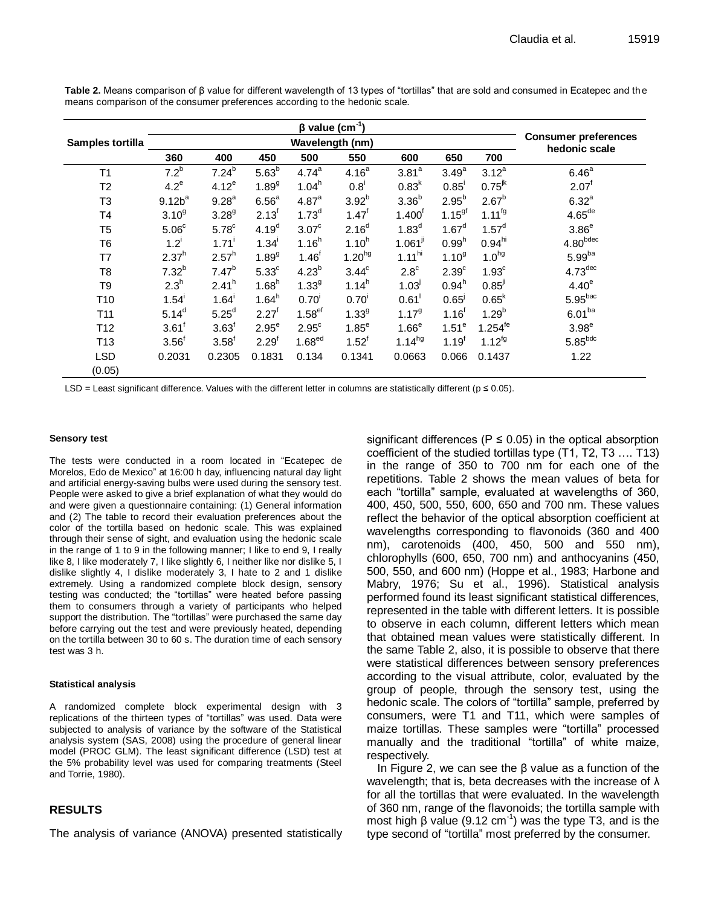**Samples tortilla β value (cm-1 ) Consumer preferences**  Wavelength (nm)<br>500 550 600 650 700 bedonic scale **360 400 450 500 550 600 650 700**  $T1$  7.2<sup>b</sup>  $7.24^{b}$  $5.63^{b}$  $4.74^a$  $4.16^{a}$  $3.81<sup>a</sup>$  $3.49^a$  $3.12^a$  $6.46^a$  $T2 \hspace{1.5cm} 4.2^e$  $4.12^e$  $1.89<sup>9</sup>$  $1.04<sup>h</sup>$  $0.8<sup>1</sup>$  $0.83^{k}$  $0.85$ <sup>1</sup>  $0.75^{jk}$  2.07<sup>t</sup>  $T3$  9.12 $b^a$  $9.28<sup>a</sup>$  $6.56<sup>a</sup>$ 4.87<sup>a</sup>  $3.92^{b}$  $3.36^{b}$  $2.95^{b}$  $2.67^{b}$  $6.32^{a}$  $T4$  3.10<sup>g</sup>  $3.28<sup>9</sup>$  $2.13<sup>t</sup>$  $1.73<sup>d</sup>$  $1.47<sup>f</sup>$  $1.400<sup>t</sup>$  $1.15<sup>gf</sup>$  1.11<sup>fg</sup> 4.65<sup>de</sup>  $T5$  5.06 $^{\circ}$  $5.78<sup>c</sup>$  $4.19<sup>d</sup>$  $3.07<sup>c</sup>$  $2.16<sup>d</sup>$  $1.83^{d}$  $1.67^d$  $1.57^d$  $3.86<sup>e</sup>$  $T6$  1.2<sup>i</sup>  $1.71<sup>1</sup>$  $1.34<sup>1</sup>$  $1.16<sup>h</sup>$  $1.10<sup>h</sup>$  $1.061<sup>\mu</sup>$  0.99<sup>h</sup>  $0.94^{\text{hi}}$  4.80<sup>bdec</sup>  $T7$  2.37<sup>h</sup>  $2.57<sup>h</sup>$  $1.89<sup>9</sup>$  $1.46<sup>f</sup>$ 1.20 $h$ g 1.11 $h$ i 1.10<sup>g</sup>  $1.0^{hg}$  5.99<sup>ba</sup>  $T8$  7.32<sup>b</sup>  $7.47^{b}$  $5.33<sup>c</sup>$  $4.23^{b}$  $3.44<sup>c</sup>$  $2.8<sup>c</sup>$  $2.39<sup>c</sup>$  $1.93<sup>c</sup>$  $4.73$ <sup>dec</sup>  $T9$  2.3<sup>h</sup>  $2.41<sup>h</sup>$  $1.68<sup>h</sup>$  $1.33<sup>9</sup>$  $1.14<sup>h</sup>$  $1.03^{j}$  $0.94<sup>h</sup>$  $0.85^{j}$  4.40<sup>e</sup>  $T10$   $1.54$ <sup>i</sup>  $1.64'$  $1.64<sup>h</sup>$  $0.70<sup>1</sup>$  $0.70<sup>1</sup>$  $0.61$ <sup>1</sup>  $0.65<sup>j</sup>$  $0.65^{k}$  $5.95<sup>bac</sup>$  $T11$   $5.14^d$  $5.25<sup>d</sup>$  $2.27<sup>f</sup>$  $1.58^{ef}$   $1.33^{g}$  $1.17<sup>9</sup>$  $1.16^{f}$  $1.29^{b}$  $6.01<sup>ba</sup>$  $T12$  3.61<sup>f</sup>  $3.63^{\dagger}$  $2.95<sup>e</sup>$  $2.95<sup>c</sup>$  $1.85<sup>e</sup>$  $1.66<sup>e</sup>$  $1.51^e$  $1.254^{1e}$   $3.98^{e}$  $T13$   $3.56^{\circ}$  $3.58<sup>f</sup>$  $2.29<sup>f</sup>$  $1.68^{ed}$   $1.52^{f}$ 1.14 $h$ <sup>hg</sup> 1.19<sup>f</sup>  $1.12^{fg}$  5.85<sup>bdc</sup> LSD 0.2031 0.2305 0.1831 0.134 0.1341 0.0663 0.066 0.1437 1.22 (0.05)

**Table 2.** Means comparison of β value for different wavelength of 13 types of "tortillas" that are sold and consumed in Ecatepec and th e means comparison of the consumer preferences according to the hedonic scale.

LSD = Least significant difference. Values with the different letter in columns are statistically different ( $p \le 0.05$ ).

#### **Sensory test**

The tests were conducted in a room located in "Ecatepec de Morelos, Edo de Mexico" at 16:00 h day, influencing natural day light and artificial energy-saving bulbs were used during the sensory test. People were asked to give a brief explanation of what they would do and were given a questionnaire containing: (1) General information and (2) The table to record their evaluation preferences about the color of the tortilla based on hedonic scale. This was explained through their sense of sight, and evaluation using the hedonic scale in the range of 1 to 9 in the following manner; I like to end 9, I really like 8, I like moderately 7, I like slightly 6, I neither like nor dislike 5, I dislike slightly 4, I dislike moderately 3, I hate to 2 and 1 dislike extremely. Using a randomized complete block design, sensory testing was conducted; the "tortillas" were heated before passing them to consumers through a variety of participants who helped support the distribution. The "tortillas" were purchased the same day before carrying out the test and were previously heated, depending on the tortilla between 30 to 60 s. The duration time of each sensory test was 3 h.

## **Statistical analysis**

A randomized complete block experimental design with 3 replications of the thirteen types of "tortillas" was used. Data were subjected to analysis of variance by the software of the Statistical analysis system (SAS, 2008) using the procedure of general linear model (PROC GLM). The least significant difference (LSD) test at the 5% probability level was used for comparing treatments (Steel and Torrie, 1980).

# **RESULTS**

The analysis of variance (ANOVA) presented statistically

significant differences ( $P \le 0.05$ ) in the optical absorption coefficient of the studied tortillas type (T1, T2, T3 …. T13) in the range of 350 to 700 nm for each one of the repetitions. Table 2 shows the mean values of beta for each "tortilla" sample, evaluated at wavelengths of 360, 400, 450, 500, 550, 600, 650 and 700 nm. These values reflect the behavior of the optical absorption coefficient at wavelengths corresponding to flavonoids (360 and 400 nm), carotenoids (400, 450, 500 and 550 nm), chlorophylls (600, 650, 700 nm) and anthocyanins (450, 500, 550, and 600 nm) (Hoppe et al., 1983; Harbone and Mabry, 1976; Su et al., 1996). Statistical analysis performed found its least significant statistical differences, represented in the table with different letters. It is possible to observe in each column, different letters which mean that obtained mean values were statistically different. In the same Table 2, also, it is possible to observe that there were statistical differences between sensory preferences according to the visual attribute, color, evaluated by the group of people, through the sensory test, using the hedonic scale. The colors of "tortilla" sample, preferred by consumers, were T1 and T11, which were samples of maize tortillas. These samples were "tortilla" processed manually and the traditional "tortilla" of white maize, respectively.

In Figure 2, we can see the β value as a function of the wavelength; that is, beta decreases with the increase of  $\lambda$ for all the tortillas that were evaluated. In the wavelength of 360 nm, range of the flavonoids; the tortilla sample with most high β value (9.12 cm<sup>-1</sup>) was the type T3, and is the type second of "tortilla" most preferred by the consumer.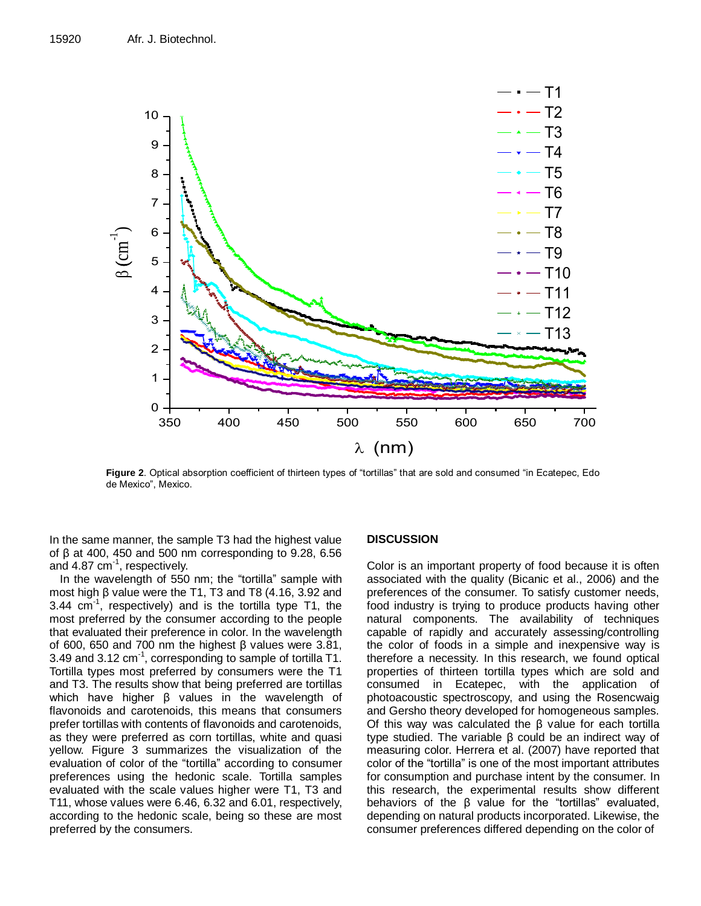

**Figure 2**. Optical absorption coefficient of thirteen types of "tortillas" that are sold and consumed "in Ecatepec, Edo de Mexico", Mexico.

In the same manner, the sample T3 had the highest value of β at 400, 450 and 500 nm corresponding to 9.28, 6.56 and 4.87 cm<sup>-1</sup>, respectively.

In the wavelength of 550 nm; the "tortilla" sample with most high β value were the T1, T3 and T8 (4.16, 3.92 and 3.44  $cm^{-1}$ , respectively) and is the tortilla type T1, the most preferred by the consumer according to the people that evaluated their preference in color. In the wavelength of 600, 650 and 700 nm the highest β values were 3.81, 3.49 and 3.12  $cm^{-1}$ , corresponding to sample of tortilla T1. Tortilla types most preferred by consumers were the T1 and T3. The results show that being preferred are tortillas which have higher β values in the wavelength of flavonoids and carotenoids, this means that consumers prefer tortillas with contents of flavonoids and carotenoids, as they were preferred as corn tortillas, white and quasi yellow. Figure 3 summarizes the visualization of the evaluation of color of the "tortilla" according to consumer preferences using the hedonic scale. Tortilla samples evaluated with the scale values higher were T1, T3 and T11, whose values were 6.46, 6.32 and 6.01, respectively, according to the hedonic scale, being so these are most preferred by the consumers.

# **DISCUSSION**

Color is an important property of food because it is often associated with the quality (Bicanic et al., 2006) and the preferences of the consumer. To satisfy customer needs, food industry is trying to produce products having other natural components. The availability of techniques capable of rapidly and accurately assessing/controlling the color of foods in a simple and inexpensive way is therefore a necessity. In this research, we found optical properties of thirteen tortilla types which are sold and consumed in Ecatepec, with the application of photoacoustic spectroscopy, and using the Rosencwaig and Gersho theory developed for homogeneous samples. Of this way was calculated the β value for each tortilla type studied. The variable β could be an indirect way of measuring color. Herrera et al. (2007) have reported that color of the "tortilla" is one of the most important attributes for consumption and purchase intent by the consumer. In this research, the experimental results show different behaviors of the β value for the "tortillas" evaluated, depending on natural products incorporated. Likewise, the consumer preferences differed depending on the color of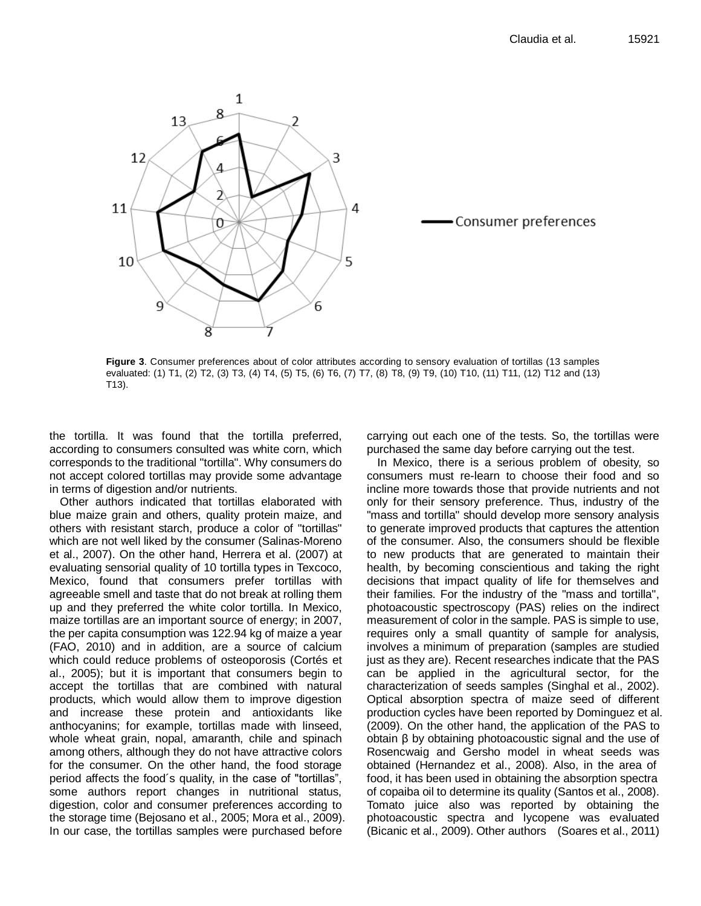

**Figure 3**. Consumer preferences about of color attributes according to sensory evaluation of tortillas (13 samples evaluated: (1) T1, (2) T2, (3) T3, (4) T4, (5) T5, (6) T6, (7) T7, (8) T8, (9) T9, (10) T10, (11) T11, (12) T12 and (13) T13).

the tortilla. It was found that the tortilla preferred, according to consumers consulted was white corn, which corresponds to the traditional "tortilla". Why consumers do not accept colored tortillas may provide some advantage in terms of digestion and/or nutrients.

Other authors indicated that tortillas elaborated with blue maize grain and others, quality protein maize, and others with resistant starch, produce a color of "tortillas" which are not well liked by the consumer (Salinas-Moreno et al., 2007). On the other hand, Herrera et al. (2007) at evaluating sensorial quality of 10 tortilla types in Texcoco, Mexico, found that consumers prefer tortillas with agreeable smell and taste that do not break at rolling them up and they preferred the white color tortilla. In Mexico, maize tortillas are an important source of energy; in 2007, the per capita consumption was 122.94 kg of maize a year (FAO, 2010) and in addition, are a source of calcium which could reduce problems of osteoporosis (Cortés et al., 2005); but it is important that consumers begin to accept the tortillas that are combined with natural products, which would allow them to improve digestion and increase these protein and antioxidants like anthocyanins; for example, tortillas made with linseed, whole wheat grain, nopal, amaranth, chile and spinach among others, although they do not have attractive colors for the consumer. On the other hand, the food storage period affects the food´s quality, in the case of "tortillas", some authors report changes in nutritional status, digestion, color and consumer preferences according to the storage time (Bejosano et al., 2005; Mora et al., 2009). In our case, the tortillas samples were purchased before

carrying out each one of the tests. So, the tortillas were purchased the same day before carrying out the test.

In Mexico, there is a serious problem of obesity, so consumers must re-learn to choose their food and so incline more towards those that provide nutrients and not only for their sensory preference. Thus, industry of the "mass and tortilla" should develop more sensory analysis to generate improved products that captures the attention of the consumer. Also, the consumers should be flexible to new products that are generated to maintain their health, by becoming conscientious and taking the right decisions that impact quality of life for themselves and their families. For the industry of the "mass and tortilla", photoacoustic spectroscopy (PAS) relies on the indirect measurement of color in the sample. PAS is simple to use, requires only a small quantity of sample for analysis, involves a minimum of preparation (samples are studied just as they are). Recent researches indicate that the PAS can be applied in the agricultural sector, for the characterization of seeds samples (Singhal et al., 2002). Optical absorption spectra of maize seed of different production cycles have been reported by Dominguez et al. (2009). On the other hand, the application of the PAS to obtain β by obtaining photoacoustic signal and the use of Rosencwaig and Gersho model in wheat seeds was obtained (Hernandez et al., 2008). Also, in the area of food, it has been used in obtaining the absorption spectra of copaiba oil to determine its quality (Santos et al., 2008). Tomato juice also was reported by obtaining the photoacoustic spectra and lycopene was evaluated (Bicanic et al., 2009). Other authors (Soares et al., 2011)